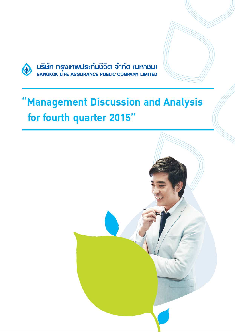

# 'Management Discussion and Analysis for fourth quarter 2015"

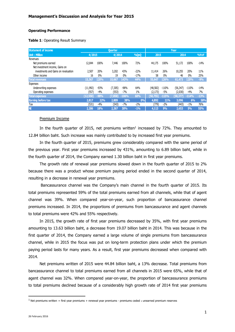#### **Operating Performance**

#### **Table 1**: Operating Result Summary

| <b>Statement of income</b><br><b>Ouarter</b> |           |        |          |         | Year   |          |         |           |         |        |
|----------------------------------------------|-----------|--------|----------|---------|--------|----------|---------|-----------|---------|--------|
| <b>Unit: Million</b>                         | 4/2015    |        | 4/2014   |         | %QoQ   | 2015     |         | 2014      |         | %YoY   |
| Revenues                                     |           |        |          |         |        |          |         |           |         |        |
| Net premiums earned                          | 12,844    | 100%   | 7,446    | 100%    | 72%    | 44,175   | 100%    | 51,172    | 100%    | $-14%$ |
| Net investment income, Gains on              |           |        |          |         |        |          |         |           |         |        |
| investments and Gains on revaluation         | 2,507     | 20%    | 3,202    | 43%     | $-22%$ | 11,414   | 26%     | 10,255    | 20%     | 11%    |
| Other income                                 | 16        | 0%     | 19       | $0\%$   | $-17%$ | 58       | $0\%$   | 46        | $0\%$   | 25%    |
| <b>Total revenues</b>                        | 15,367    | 120%   | 10,667   | 143%    | 44%    | 55,647   | 126%    | 61,473    | 120%    | $-9%$  |
| Expenses                                     |           |        |          |         |        |          |         |           |         |        |
| Underwriting expenses                        | (11, 992) | $-93%$ | (7, 305) | $-98%$  | 64%    | (48.582) | $-110%$ | (56, 347) | $-110%$ | $-14%$ |
| Operating expenses                           | (557)     | $-4%$  | (553)    | $-7%$   | 1%     | (2, 173) | $-5%$   | (2,030)   | $-4%$   | 7%     |
| <b>Total expenses</b>                        | (12,550)  | $-98%$ | (7,858)  | $-106%$ | 60%    | (50,755) | $-115%$ | (58, 377) | $-114%$ | $-13%$ |
| <b>Earning before tax</b>                    | 2.817     | 22%    | 2,809    | 38%     | 0%     | 4,892    | 11%     | 3,096     | 6%      | 58%    |
| Тах                                          | (531)     | $-4%$  | (543)    | $-7%$   | $-2\%$ | (779)    | $-2\%$  | (443)     | $-1\%$  | 76%    |
| NI                                           | 2,286     | 18%    | 2.267    | 30%     | $-1%$  | 4,113    | 9%      | 2,653     | 5%      | 55%    |

#### Premium Income

In the fourth quarter of 2015, net premiums written<sup>1</sup> increased by 72%. They amounted to 12.84 billion baht. Such increase was mainly contributed to by increased first year premiums.

In the fourth quarter of 2015, premiums grew considerably compared with the same period of the previous year. First year premiums increased by 431%, amounting to 6.89 billion baht, while in the fourth quarter of 2014, the Company earned 1.30 billion baht in first year premiums.

The growth rate of renewal year premiums slowed down in the fourth quarter of 2015 to 2% because there was a product whose premium paying period ended in the second quarter of 2014, resulting in a decrease in renewal year premiums.

 Bancassurance channel was the Company's main channel in the fourth quarter of 2015. Its total premiums represented 59% of the total premiums earned from all channels, while that of agent channel was 39%. When compared year-on-year, such proportion of bancassurance channel premiums increased. In 2014, the proportions of premiums from bancassurance and agent channels to total premiums were 42% and 55% respectively.

In 2015, the growth rate of first year premiums decreased by 35%, with first year premiums amounting to 13.63 billion baht, a decrease from 19.07 billion baht in 2014. This was because in the first quarter of 2014, the Company earned a large volume of single premiums from bancassurance channel, while in 2015 the focus was put on long-term protection plans under which the premium paying period lasts for many years. As a result, first year premiums decreased when compared with 2014.

Net premiums written of 2015 were 44.84 billion baht, a 13% decrease. Total premiums from bancassurance channel to total premiums earned from all channels in 2015 were 65%, while that of agent channel was 32%. When compared year-on-year, the proportion of bancassurance premiums to total premiums declined because of a considerably high growth rate of 2014 first year premiums

 $\overline{a}$ 

<sup>&</sup>lt;sup>1</sup> Net premiums written = first year premiums + renewal year premiums - premiums ceded ± unearned premium reserves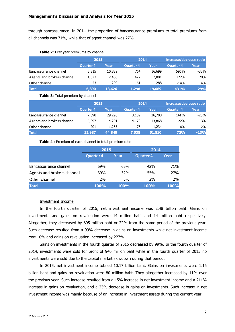through bancassurance. In 2014, the proportion of bancassurance premiums to total premiums from all channels was 71%, while that of agent channel was 27%.

#### **Table 2**: First year premiums by channel

|                            | 2015             |        | 2014             |        | Increase/decrease ratio |        |  |
|----------------------------|------------------|--------|------------------|--------|-------------------------|--------|--|
|                            | <b>Quarter 4</b> | Year   | <b>Quarter 4</b> | Year   | <b>Quarter 4</b>        | Year   |  |
| Bancassurrance channel     | 5,315            | 10,839 | 764              | 16,699 | 596%                    | -35%   |  |
| Agents and brokers channel | 1,523            | 2,488  | 472              | 2,081  | 222%                    | 20%    |  |
| Other channel              | 53               | 299    | 61               | 288    | $-14%$                  | 4%     |  |
| <b>Total</b>               | 6,890            | 13,626 | 1,298            | 19,069 | 431%                    | $-29%$ |  |

#### **Table 3**: Total premium by channel

|                            | 2015             |        | 2014             |        | Increase/decrease ratio |        |  |
|----------------------------|------------------|--------|------------------|--------|-------------------------|--------|--|
|                            | <b>Quarter 4</b> | Year   | <b>Quarter 4</b> | Year   | <b>Quarter 4</b>        | Year   |  |
| Bancassurrance channel     | 7.690            | 29,296 | 3,189            | 36,708 | 141%                    | $-20%$ |  |
| Agents and brokers channel | 5,097            | 14,291 | 4,173            | 13,868 | 22%                     | 3%     |  |
| Other channel              | 201              | 1,253  | 176              | 1,234  | 14%                     | 2%     |  |
| <b>Total</b>               | 12,987           | 44,840 | 7,538            | 51,810 | 72%                     | $-13%$ |  |

**Table 4** : Premium of each channel to total premium ratio

|                            | 2015             |             | 2014             |             |
|----------------------------|------------------|-------------|------------------|-------------|
|                            | <b>Quarter 4</b> | Year        | <b>Quarter 4</b> | Year        |
| Bancassurrance channel     | 59%              | 65%         | 42%              | 71%         |
| Agents and brokers channel | 39%              | 32%         | 55%              | 27%         |
| Other channel              | 2%               | 3%          | 2%               | 2%          |
| <b>Total</b>               | <b>100%</b>      | <b>100%</b> | <b>100%</b>      | <b>100%</b> |

# Investment Income

In the fourth quarter of 2015, net investment income was 2.48 billion baht. Gains on investments and gains on revaluation were 14 million baht and 14 million baht respectively. Altogether, they decreased by 695 million baht or 22% from the same period of the previous year. Such decrease resulted from a 99% decrease in gains on investments while net investment income rose 10% and gains on revaluation increased by 227%.

Gains on investments in the fourth quarter of 2015 decreased by 99%. In the fourth quarter of 2014, investments were sold for profit of 940 million baht while in the fourth quarter of 2015 no investments were sold due to the capital market slowdown during that period.

In 2015, net investment income totaled 10.17 billion baht. Gains on investments were 1.16 billion baht and gains on revaluation were 80 million baht. They altogether increased by 11% over the previous year. Such increase resulted from a 15% increase in net investment income and a 211% increase in gains on revaluation, and a 23% decrease in gains on investments. Such increase in net investment income was mainly because of an increase in investment assets during the current year.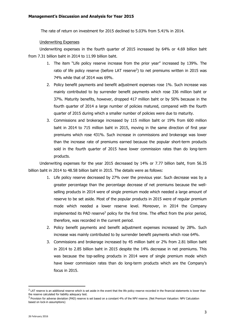The rate of return on investment for 2015 declined to 5.03% from 5.41% in 2014.

## Underwriting Expenses

Underwriting expenses in the fourth quarter of 2015 increased by 64% or 4.69 billion baht from 7.31 billion baht in 2014 to 11.99 billion baht.

- 1. The item "Life policy reserve increase from the prior year" increased by 139%. The ratio of life policy reserve (before LAT reserve<sup>2</sup>) to net premiums written in 2015 was 74% while that of 2014 was 69%.
- 2. Policy benefit payments and benefit adjustment expenses rose 1%. Such increase was mainly contributed to by surrender benefit payments which rose 336 million baht or 37%. Maturity benefits, however, dropped 417 million baht or by 50% because in the fourth quarter of 2014 a large number of policies matured, compared with the fourth quarter of 2015 during which a smaller number of policies were due to maturity.
- 3. Commissions and brokerage increased by 115 million baht or 19% from 600 million baht in 2014 to 715 million baht in 2015, moving in the same direction of first year premiums which rose 431%. Such increase in commissions and brokerage was lower than the increase rate of premiums earned because the popular short-term products sold in the fourth quarter of 2015 have lower commission rates than do long-term products.

Underwriting expenses for the year 2015 decreased by 14% or 7.77 billion baht, from 56.35 billion baht in 2014 to 48.58 billion baht in 2015. The details were as follows:

- 1. Life policy reserve decreased by 27% over the previous year. Such decrease was by a greater percentage than the percentage decrease of net premiums because the wellselling products in 2014 were of single premium mode which needed a large amount of reserve to be set aside. Most of the popular products in 2015 were of regular premium mode which needed a lower reserve level. Moreover, in 2014 the Company implemented its PAD reserve<sup>3</sup> policy for the first time. The effect from the prior period, therefore, was recorded in the current period.
- 2. Policy benefit payments and benefit adjustment expenses increased by 28%. Such increase was mainly contributed to by surrender benefit payments which rose 64%.
- 3. Commissions and brokerage increased by 45 million baht or 2% from 2.81 billion baht in 2014 to 2.85 billion baht in 2015 despite the 14% decrease in net premiums. This was because the top-selling products in 2014 were of single premium mode which have lower commission rates than do long-term products which are the Company's focus in 2015.

 $\overline{a}$ 

 $^2$  LAT reserve is an additional reserve which is set aside in the event that the life policy reserve recorded in the financial statements is lower than the reserve calculated for liability adequacy test.

<sup>&</sup>lt;sup>3</sup> Provision for adverse deviation (PAD) reserve is set based on a constant 4% of the NPV reserve. (Net Premium Valuation: NPV Calculation based on lock-in assumptions)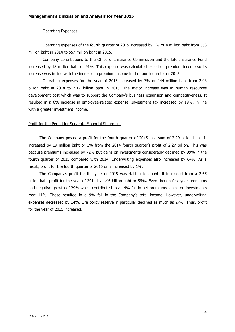## Operating Expenses

Operating expenses of the fourth quarter of 2015 increased by 1% or 4 million baht from 553 million baht in 2014 to 557 million baht in 2015.

Company contributions to the Office of Insurance Commission and the Life Insurance Fund increased by 18 million baht or 91%. This expense was calculated based on premium income so its increase was in line with the increase in premium income in the fourth quarter of 2015.

Operating expenses for the year of 2015 increased by 7% or 144 million baht from 2.03 billion baht in 2014 to 2.17 billion baht in 2015. The major increase was in human resources development cost which was to support the Company's business expansion and competitiveness. It resulted in a 6% increase in employee-related expense. Investment tax increased by 19%, in line with a greater investment income.

#### Profit for the Period for Separate Financial Statement

The Company posted a profit for the fourth quarter of 2015 in a sum of 2.29 billion baht. It increased by 19 million baht or 1% from the 2014 fourth quarter's profit of 2.27 billion. This was because premiums increased by 72% but gains on investments considerably declined by 99% in the fourth quarter of 2015 compared with 2014. Underwriting expenses also increased by 64%. As a result, profit for the fourth quarter of 2015 only increased by 1%.

The Company's profit for the year of 2015 was 4.11 billion baht. It increased from a 2.65 billion-baht profit for the year of 2014 by 1.46 billion baht or 55%. Even though first year premiums had negative growth of 29% which contributed to a 14% fall in net premiums, gains on investments rose 11%. These resulted in a 9% fall in the Company's total income. However, underwriting expenses decreased by 14%. Life policy reserve in particular declined as much as 27%. Thus, profit for the year of 2015 increased.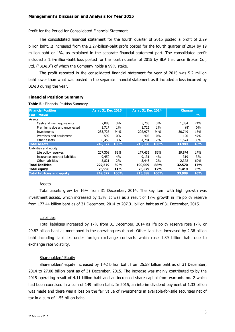#### Profit for the Period for Consolidated Financial Statement

The consolidated financial statement for the fourth quarter of 2015 posted a profit of 2.29 billion baht. It increased from the 2.27-billion-baht profit posted for the fourth quarter of 2014 by 19 million baht or 1%, as explained in the separate financial statement part. The consolidated profit included a 1.5-million-baht loss posted for the fourth quarter of 2015 by BLA Insurance Broker Co., Ltd. ("BLAIB") of which the Company holds a 99% stake.

The profit reported in the consolidated financial statement for year of 2015 was 5.2 million baht lower than what was posted in the separate financial statement as it included a loss incurred by BLAIB during the year.

#### **Financial Position Summary**

**Table 5** : Financial Position Summary

| <b>Financial Position</b>           |         | As at 31 Dec 2015 |         | As at 31 Dec 2014 | <b>Change</b> |               |
|-------------------------------------|---------|-------------------|---------|-------------------|---------------|---------------|
| <b>Unit: Million</b>                |         |                   |         |                   |               | $\frac{0}{0}$ |
| Assets                              |         |                   |         |                   |               |               |
| Cash and cash equivalents           | 7.088   | 3%                | 5,703   | 3%                | 1,384         | 24%           |
| Premiums due and uncollected        | 1,717   | $1\%$             | 1,725   | $1\%$             | (8)           | $0\%$         |
| Investments                         | 233,726 | 94%               | 202,977 | 94%               | 30,749        | 15%           |
| Premises and equipment              | 592     | $0\%$             | 402     | $0\%$             | 190           | 47%           |
| Other assets                        | 6,455   | 3%                | 4,781   | 2%                | 1,674         | 35%           |
| <b>Total assets</b>                 | 249,577 | 100%              | 215,588 | 100%              | 33,989        | 16%           |
| Liabilities and equity              |         |                   |         |                   |               |               |
| Life policy reserves                | 207,308 | 83%               | 177,435 | 82%               | 29,874        | 17%           |
| Insurance contract liabilities      | 9,450   | 4%                | 9,131   | 4%                | 319           | 3%            |
| Other liabilities                   | 5,821   | 2%                | 3,443   | 2%                | 2,378         | 69%           |
| <b>Total liabilities</b>            | 222,579 | 89%               | 190,009 | 88%               | 32,570        | <b>17%</b>    |
| <b>Total equity</b>                 | 26,998  | 11%               | 25,579  | 12%               | 1,419         | 6%            |
| <b>Total liabilities and equity</b> | 249,577 | 100%              | 215,588 | 100%              | 33,989        | <b>16%</b>    |

# Assets

Total assets grew by 16% from 31 December, 2014. The key item with high growth was investment assets, which increased by 15%. It was as a result of 17% growth in life policy reserve from 177.44 billion baht as of 31 December, 2014 to 207.31 billion baht as of 31 December, 2015.

#### **Liabilities**

Total liabilities increased by 17% from 31 December, 2014 as life policy reserve rose 17% or 29.87 billion baht as mentioned in the operating result part. Other liabilities increased by 2.38 billion baht including liabilities under foreign exchange contracts which rose 1.89 billion baht due to exchange rate volatility.

## Shareholders' Equity

Shareholders' equity increased by 1.42 billion baht from 25.58 billion baht as of 31 December, 2014 to 27.00 billion baht as of 31 December, 2015. The increase was mainly contributed to by the 2015 operating result of 4.11 billion baht and an increased share capital from warrants no. 2 which had been exercised in a sum of 149 million baht. In 2015, an interim dividend payment of 1.33 billion was made and there was a loss on the fair value of investments in available-for-sale securities net of tax in a sum of 1.55 billion baht.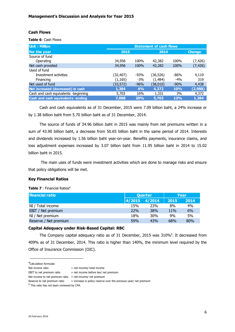# **Cash Flows**

**Table 6**: Cash Flows

| <b>Unit: Million</b>                 | <b>Statement of cash flows</b> |        |           |        |               |  |  |  |
|--------------------------------------|--------------------------------|--------|-----------|--------|---------------|--|--|--|
| For the year                         | 2015                           |        | 2014      |        | <b>Change</b> |  |  |  |
| Source of fund                       |                                |        |           |        |               |  |  |  |
| Operating                            | 34,956                         | 100%   | 42,382    | 100%   | (7, 426)      |  |  |  |
| Net cash provided                    | 34,956                         | 100%   | 42,382    | 100%   | (7, 426)      |  |  |  |
| Used of fund                         |                                |        |           |        |               |  |  |  |
| Investment activities                | (32,407)                       | $-93%$ | (36, 526) | $-86%$ | 4,119         |  |  |  |
| Financing                            | (1, 165)                       | $-3%$  | (1, 484)  | $-4%$  | 319           |  |  |  |
| Net used of fund                     | (33, 572)                      | $-96%$ | (38, 010) | $-90%$ | 4,438         |  |  |  |
| Net increased (decreased) in cash    | 1,384                          | 4%     | 4,372     | 10%    | (2,988)       |  |  |  |
| Cash and cash equivalents -beginning | 5,703                          | 16%    | 1,331     | 3%     | 4,372         |  |  |  |
| Cash and cash equivalents -ending    | 7,088                          | 20%    | 5,703     | 13%    | 1,384         |  |  |  |

Cash and cash equivalents as of 31 December, 2015 were 7.09 billion baht, a 24% increase or by 1.38 billion baht from 5.70 billion baht as of 31 December, 2014.

The source of funds of 34.96 billion baht in 2015 was mainly from net premiums written in a sum of 43.90 billion baht, a decrease from 50.65 billion baht in the same period of 2014. Interests and dividends increased by 1.56 billion baht year-on-year. Benefits payments, insurance claims, and loss adjustment expenses increased by 3.07 billion baht from 11.95 billion baht in 2014 to 15.02 billion baht in 2015.

 The main uses of funds were investment activities which are done to manage risks and ensure that policy obligations will be met.

## **Key Financial Ratios**

**Table 7** : Financial Ratios<sup>4</sup>

| <b>Financial ratio</b> | <b>Quarter</b> |            | Year       |      |
|------------------------|----------------|------------|------------|------|
|                        | 4/2015         | 4/2014     | 2015       | 2014 |
| NI / Total income      | 15%            | 23%        | 8%         | 4%   |
| EBIT / Net premium     | <b>22%</b>     | <b>38%</b> | <b>11%</b> | 6%   |
| NI / Net premium       | 18%            | 30%        | 9%         | 5%   |
| Reserve / Net premium  | 59%            | 43%        | 68%        | 80%  |

# **Capital Adequacy under Risk-Based Capital: RBC**

The Company capital adequacy ratio as of 31 December, 2015 was 310%<sup>5</sup>. It decreased from 409% as of 31 December, 2014. This ratio is higher than 140%, the minimum level required by the Office of Insurance Commission (OIC).

 $\overline{\phantom{a}}$  , where the contract of the contract of the contract of the contract of the contract of the contract of the contract of the contract of the contract of the contract of the contract of the contract of the contr

<sup>4</sup>Calculation formulas:

Net income ratio  $=$  net income/ total income

EBIT to net premium ratio  $=$  net income before tax/ net premium

Net income to net premium ratio = net income/ net premium

Reserve to net premium ratio  $=$  increase in policy reserve over the previous year/ net premium

<sup>&</sup>lt;sup>5</sup> This ratio has not been reviewed by CPA.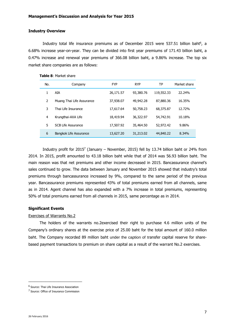## **Industry Overview**

Industry total life insurance premiums as of December 2015 were 537.51 billion baht<sup>6</sup>, a 6.68% increase year-on-year. They can be divided into first year premiums of 171.43 billion baht, a 0.47% increase and renewal year premiums of 366.08 billion baht, a 9.86% increase. The top six market share companies are as follows:

| No.           | Company                   | <b>FYP</b> | <b>RYP</b> | ТP         | Market share |
|---------------|---------------------------|------------|------------|------------|--------------|
| 1             | AIA                       | 26,171.57  | 93,380.76  | 119,552.33 | 22.24%       |
| $\mathcal{P}$ | Muang Thai Life Assurance | 37,938.07  | 49,942,28  | 87,880.36  | 16.35%       |
| 3             | Thai Life Insurance       | 17,617.64  | 50,758.23  | 68,375.87  | 12.72%       |
| 4             | Krungthai-AXA Life        | 18,419.94  | 36,322.97  | 54,742.91  | 10.18%       |
| 5             | SCB Life Assurance        | 17,507.92  | 35,464.50  | 52,972.42  | 9.86%        |
| 6             | Bangkok Life Assurance    | 13,627.20  | 31,213.02  | 44,840.22  | 8.34%        |

**Table 8**: Market share

Industry profit for 2015<sup>7</sup> (January – November, 2015) fell by 13.74 billion baht or 24% from 2014. In 2015, profit amounted to 43.18 billion baht while that of 2014 was 56.93 billion baht. The main reason was that net premiums and other income decreased in 2015. Bancassurance channel's sales continued to grow. The data between January and November 2015 showed that industry's total premiums through bancassurance increased by 9%, compared to the same period of the previous year. Bancassurance premiums represented 43% of total premiums earned from all channels, same as in 2014. Agent channel has also expanded with a 7% increase in total premiums, representing 50% of total premiums earned from all channels in 2015, same percentage as in 2014.

## **Significant Events**

## Exercises of Warrants No.2

The holders of the warrants no.2exercised their right to purchase 4.6 million units of the Company's ordinary shares at the exercise price of 25.00 baht for the total amount of 160.0 million baht. The Company recorded 89 million baht under the caption of transfer capital reserve for sharebased payment transactions to premium on share capital as a result of the warrant No.2 exercises.

\_\_\_\_\_\_\_\_\_\_\_\_\_\_\_\_\_\_\_\_\_\_\_\_\_

<sup>&</sup>lt;sup>6</sup> Source: Thai Life Insurance Association

<sup>&</sup>lt;sup>7</sup> Source: Office of Insurance Commission